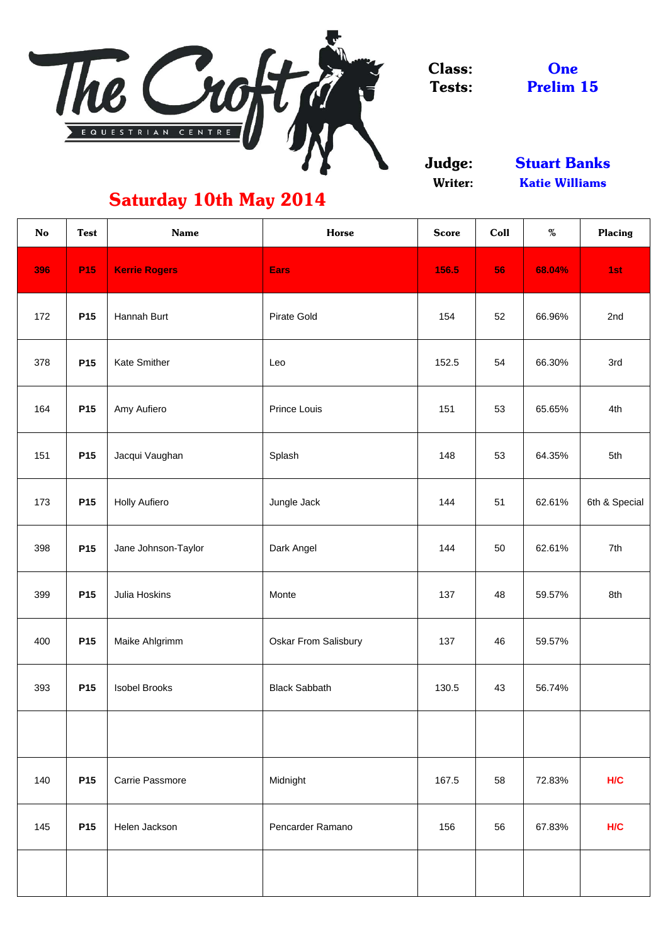

Class: Tests:

Judge: Writer:

**One** Prelim 15

| <b>No</b> | <b>Test</b>     | <b>Name</b>            | <b>Horse</b>                | <b>Score</b> | Coll | $\%$   | <b>Placing</b> |
|-----------|-----------------|------------------------|-----------------------------|--------------|------|--------|----------------|
| 396       | P <sub>15</sub> | <b>Kerrie Rogers</b>   | <b>Ears</b>                 | 156.5        | 56   | 68.04% | 1st            |
| 172       | <b>P15</b>      | Hannah Burt            | <b>Pirate Gold</b>          | 154          | 52   | 66.96% | 2nd            |
| 378       | <b>P15</b>      | <b>Kate Smither</b>    | Leo                         | 152.5        | 54   | 66.30% | 3rd            |
| 164       | P <sub>15</sub> | Amy Aufiero            | <b>Prince Louis</b>         | 151          | 53   | 65.65% | 4th            |
| 151       | <b>P15</b>      | Jacqui Vaughan         | Splash                      | 148          | 53   | 64.35% | 5th            |
| 173       | <b>P15</b>      | <b>Holly Aufiero</b>   | Jungle Jack                 | 144          | 51   | 62.61% | 6th & Special  |
| 398       | <b>P15</b>      | Jane Johnson-Taylor    | Dark Angel                  | 144          | 50   | 62.61% | 7th            |
| 399       | <b>P15</b>      | <b>Julia Hoskins</b>   | Monte                       | 137          | 48   | 59.57% | 8th            |
| 400       | <b>P15</b>      | Maike Ahlgrimm         | <b>Oskar From Salisbury</b> | 137          | 46   | 59.57% |                |
| 393       | <b>P15</b>      | <b>Isobel Brooks</b>   | <b>Black Sabbath</b>        | 130.5        | 43   | 56.74% |                |
|           |                 |                        |                             |              |      |        |                |
| 140       | <b>P15</b>      | <b>Carrie Passmore</b> | Midnight                    | 167.5        | 58   | 72.83% | H/C            |
| 145       | <b>P15</b>      | Helen Jackson          | Pencarder Ramano            | 156          | 56   | 67.83% | H/C            |
|           |                 |                        |                             |              |      |        |                |

Stuart Banks Katie Williams

## Saturday 10th May 2014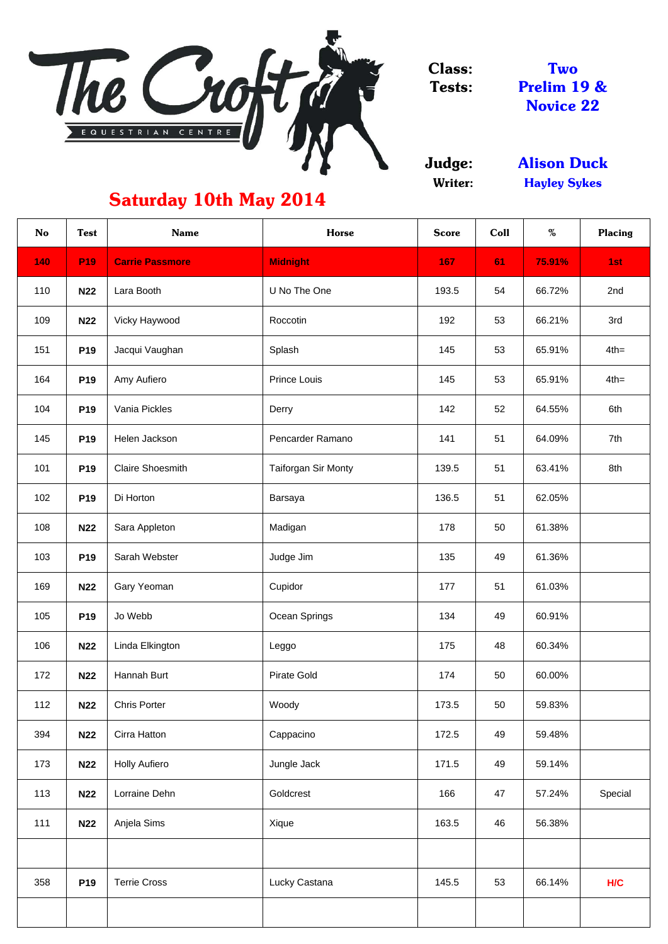

Class: Tests:

Judge: Writer:

| <b>No</b> | <b>Test</b>     | <b>Name</b>             | <b>Horse</b>        | <b>Score</b> | <b>Coll</b> | $\%$   | <b>Placing</b> |
|-----------|-----------------|-------------------------|---------------------|--------------|-------------|--------|----------------|
| 140       | P <sub>19</sub> | <b>Carrie Passmore</b>  | <b>Midnight</b>     | 167          | 61          | 75.91% | 1st            |
| 110       | <b>N22</b>      | Lara Booth              | U No The One        | 193.5        | 54          | 66.72% | 2nd            |
| 109       | <b>N22</b>      | Vicky Haywood           | Roccotin            | 192          | 53          | 66.21% | 3rd            |
| 151       | <b>P19</b>      | Jacqui Vaughan          | Splash              | 145          | 53          | 65.91% | $4th =$        |
| 164       | <b>P19</b>      | Amy Aufiero             | Prince Louis        | 145          | 53          | 65.91% | $4th =$        |
| 104       | <b>P19</b>      | Vania Pickles           | Derry               | 142          | 52          | 64.55% | 6th            |
| 145       | <b>P19</b>      | Helen Jackson           | Pencarder Ramano    | 141          | 51          | 64.09% | 7th            |
| 101       | <b>P19</b>      | <b>Claire Shoesmith</b> | Taiforgan Sir Monty | 139.5        | 51          | 63.41% | 8th            |
| 102       | <b>P19</b>      | Di Horton               | <b>Barsaya</b>      | 136.5        | 51          | 62.05% |                |
| 108       | <b>N22</b>      | Sara Appleton           | Madigan             | 178          | 50          | 61.38% |                |
| 103       | <b>P19</b>      | Sarah Webster           | Judge Jim           | 135          | 49          | 61.36% |                |
| 169       | <b>N22</b>      | Gary Yeoman             | Cupidor             | 177          | 51          | 61.03% |                |
| 105       | <b>P19</b>      | Jo Webb                 | Ocean Springs       | 134          | 49          | 60.91% |                |
| 106       | <b>N22</b>      | Linda Elkington         | Leggo               | 175          | 48          | 60.34% |                |
| 172       | <b>N22</b>      | Hannah Burt             | <b>Pirate Gold</b>  | 174          | 50          | 60.00% |                |
| 112       | <b>N22</b>      | <b>Chris Porter</b>     | Woody               | 173.5        | 50          | 59.83% |                |
| 394       | <b>N22</b>      | Cirra Hatton            | Cappacino           | 172.5        | 49          | 59.48% |                |
| 173       | <b>N22</b>      | <b>Holly Aufiero</b>    | Jungle Jack         | 171.5        | 49          | 59.14% |                |
| 113       | <b>N22</b>      | Lorraine Dehn           | Goldcrest           | 166          | 47          | 57.24% | Special        |
| 111       | <b>N22</b>      | Anjela Sims             | Xique               | 163.5        | 46          | 56.38% |                |
|           |                 |                         |                     |              |             |        |                |
| 358       | P <sub>19</sub> | <b>Terrie Cross</b>     | Lucky Castana       | 145.5        | 53          | 66.14% | H/C            |
|           |                 |                         |                     |              |             |        |                |

Two Prelim 19 & Novice 22

## Saturday 10th May 2014

Hayley Sykes Alison Duck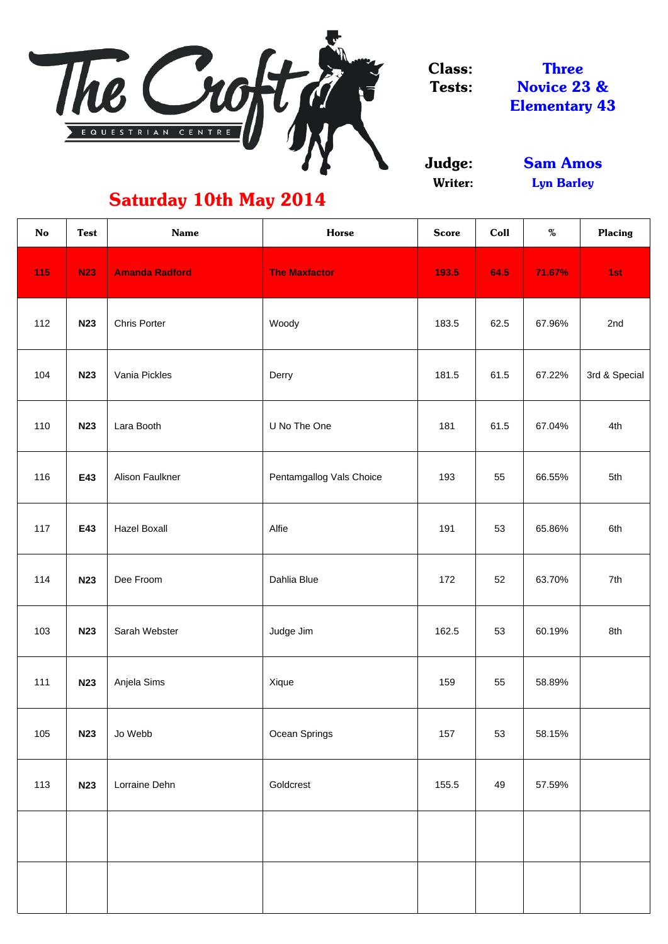

Class: Tests:

> Judge: Writer:

| <b>No</b> | <b>Test</b> | <b>Name</b>           | <b>Horse</b>             | <b>Score</b> | Coll | $\%$   | <b>Placing</b> |
|-----------|-------------|-----------------------|--------------------------|--------------|------|--------|----------------|
| 115       | <b>N23</b>  | <b>Amanda Radford</b> | <b>The Maxfactor</b>     | 193.5        | 64.5 | 71.67% | 1st            |
| 112       | <b>N23</b>  | <b>Chris Porter</b>   | Woody                    | 183.5        | 62.5 | 67.96% | 2nd            |
| 104       | <b>N23</b>  | Vania Pickles         | Derry                    | 181.5        | 61.5 | 67.22% | 3rd & Special  |
| 110       | <b>N23</b>  | Lara Booth            | U No The One             | 181          | 61.5 | 67.04% | 4th            |
| 116       | E43         | Alison Faulkner       | Pentamgallog Vals Choice | 193          | 55   | 66.55% | 5th            |
| 117       | E43         | <b>Hazel Boxall</b>   | Alfie                    | 191          | 53   | 65.86% | 6th            |
| 114       | <b>N23</b>  | Dee Froom             | Dahlia Blue              | 172          | 52   | 63.70% | 7th            |
| 103       | <b>N23</b>  | Sarah Webster         | Judge Jim                | 162.5        | 53   | 60.19% | 8th            |
| 111       | <b>N23</b>  | Anjela Sims           | Xique                    | 159          | 55   | 58.89% |                |
| 105       | <b>N23</b>  | Jo Webb               | Ocean Springs            | 157          | 53   | 58.15% |                |
| 113       | <b>N23</b>  | Lorraine Dehn         | Goldcrest                | 155.5        | 49   | 57.59% |                |
|           |             |                       |                          |              |      |        |                |
|           |             |                       |                          |              |      |        |                |

Novice 23 & Elementary 43 Three

## Saturday 10th May 2014

Lyn Barley Sam Amos